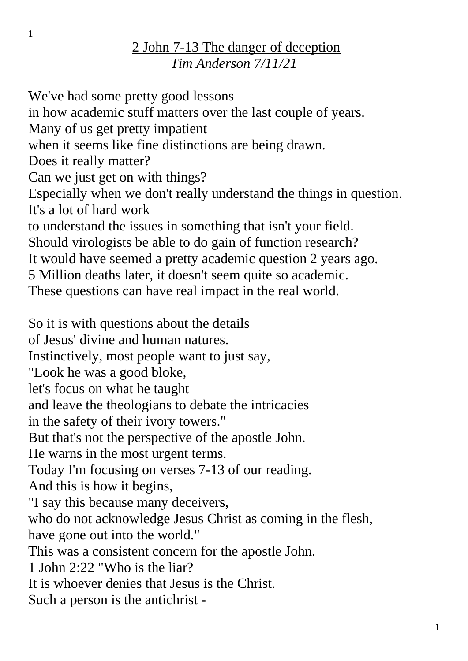## 2 John 7-13 The danger of deception *Tim Anderson 7/11/21*

We've had some pretty good lessons in how academic stuff matters over the last couple of years. Many of us get pretty impatient when it seems like fine distinctions are being drawn. Does it really matter? Can we just get on with things? Especially when we don't really understand the things in question. It's a lot of hard work to understand the issues in something that isn't your field. Should virologists be able to do gain of function research? It would have seemed a pretty academic question 2 years ago. 5 Million deaths later, it doesn't seem quite so academic. These questions can have real impact in the real world. So it is with questions about the details of Jesus' divine and human natures. Instinctively, most people want to just say, "Look he was a good bloke, let's focus on what he taught and leave the theologians to debate the intricacies in the safety of their ivory towers." But that's not the perspective of the apostle John. He warns in the most urgent terms. Today I'm focusing on verses 7-13 of our reading. And this is how it begins, "I say this because many deceivers, who do not acknowledge Jesus Christ as coming in the flesh, have gone out into the world." This was a consistent concern for the apostle John. 1 John 2:22 "Who is the liar? It is whoever denies that Jesus is the Christ. Such a person is the antichrist -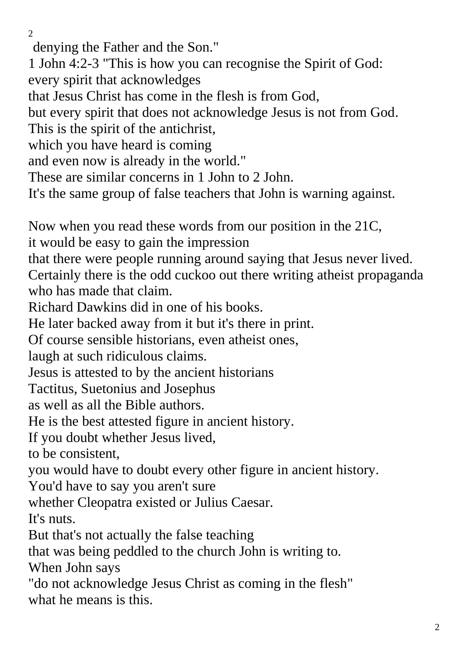$\mathcal{L}$ 

denying the Father and the Son." 1 John 4:2-3 "This is how you can recognise the Spirit of God: every spirit that acknowledges that Jesus Christ has come in the flesh is from God, but every spirit that does not acknowledge Jesus is not from God. This is the spirit of the antichrist, which you have heard is coming and even now is already in the world." These are similar concerns in 1 John to 2 John. It's the same group of false teachers that John is warning against. Now when you read these words from our position in the 21C, it would be easy to gain the impression that there were people running around saying that Jesus never lived. Certainly there is the odd cuckoo out there writing atheist propaganda who has made that claim. Richard Dawkins did in one of his books. He later backed away from it but it's there in print. Of course sensible historians, even atheist ones, laugh at such ridiculous claims. Jesus is attested to by the ancient historians Tactitus, Suetonius and Josephus as well as all the Bible authors. He is the best attested figure in ancient history. If you doubt whether Jesus lived, to be consistent, you would have to doubt every other figure in ancient history. You'd have to say you aren't sure whether Cleopatra existed or Julius Caesar. It's nuts. But that's not actually the false teaching that was being peddled to the church John is writing to. When John says "do not acknowledge Jesus Christ as coming in the flesh" what he means is this.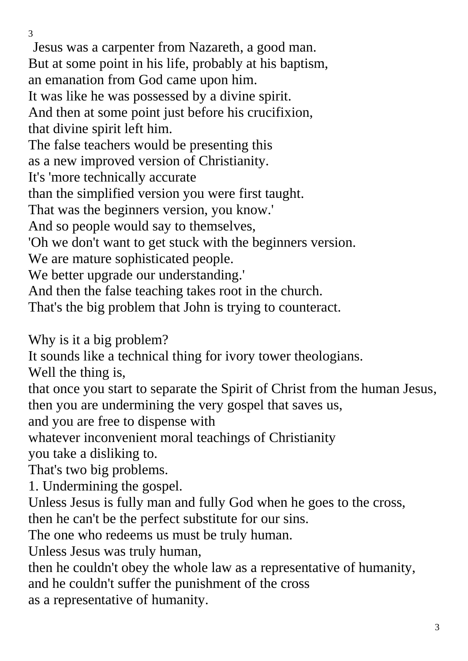Jesus was a carpenter from Nazareth, a good man. But at some point in his life, probably at his baptism, an emanation from God came upon him. It was like he was possessed by a divine spirit. And then at some point just before his crucifixion, that divine spirit left him. The false teachers would be presenting this as a new improved version of Christianity. It's 'more technically accurate than the simplified version you were first taught. That was the beginners version, you know.' And so people would say to themselves, 'Oh we don't want to get stuck with the beginners version. We are mature sophisticated people. We better upgrade our understanding.' And then the false teaching takes root in the church. That's the big problem that John is trying to counteract.

Why is it a big problem?

It sounds like a technical thing for ivory tower theologians.

Well the thing is,

that once you start to separate the Spirit of Christ from the human Jesus, then you are undermining the very gospel that saves us,

and you are free to dispense with

whatever inconvenient moral teachings of Christianity

you take a disliking to.

That's two big problems.

1. Undermining the gospel.

Unless Jesus is fully man and fully God when he goes to the cross, then he can't be the perfect substitute for our sins.

The one who redeems us must be truly human.

Unless Jesus was truly human,

then he couldn't obey the whole law as a representative of humanity, and he couldn't suffer the punishment of the cross as a representative of humanity.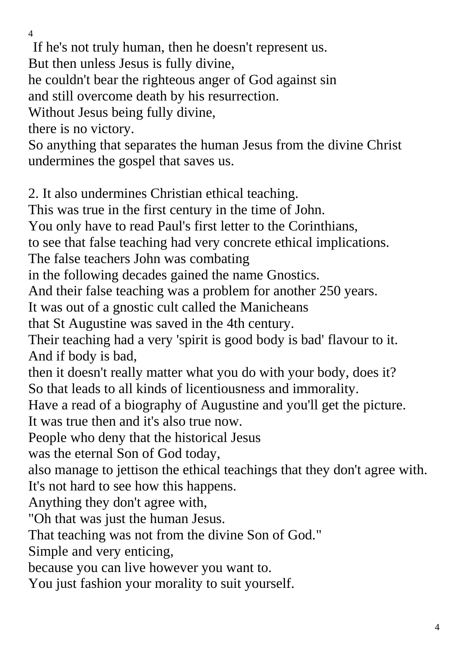If he's not truly human, then he doesn't represent us.

But then unless Jesus is fully divine,

he couldn't bear the righteous anger of God against sin

and still overcome death by his resurrection.

Without Jesus being fully divine,

there is no victory.

So anything that separates the human Jesus from the divine Christ undermines the gospel that saves us.

2. It also undermines Christian ethical teaching.

This was true in the first century in the time of John.

You only have to read Paul's first letter to the Corinthians,

to see that false teaching had very concrete ethical implications.

The false teachers John was combating

in the following decades gained the name Gnostics.

And their false teaching was a problem for another 250 years.

It was out of a gnostic cult called the Manicheans

that St Augustine was saved in the 4th century.

Their teaching had a very 'spirit is good body is bad' flavour to it. And if body is bad,

then it doesn't really matter what you do with your body, does it? So that leads to all kinds of licentiousness and immorality.

Have a read of a biography of Augustine and you'll get the picture. It was true then and it's also true now.

People who deny that the historical Jesus

was the eternal Son of God today,

also manage to jettison the ethical teachings that they don't agree with.

It's not hard to see how this happens.

Anything they don't agree with,

"Oh that was just the human Jesus.

That teaching was not from the divine Son of God."

Simple and very enticing,

because you can live however you want to.

You just fashion your morality to suit yourself.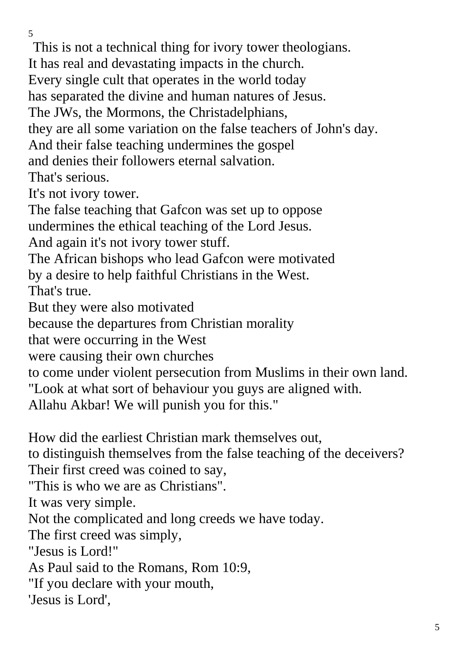This is not a technical thing for ivory tower theologians.

It has real and devastating impacts in the church.

Every single cult that operates in the world today

has separated the divine and human natures of Jesus.

The JWs, the Mormons, the Christadelphians,

they are all some variation on the false teachers of John's day.

And their false teaching undermines the gospel

and denies their followers eternal salvation.

That's serious.

It's not ivory tower.

The false teaching that Gafcon was set up to oppose

undermines the ethical teaching of the Lord Jesus.

And again it's not ivory tower stuff.

The African bishops who lead Gafcon were motivated by a desire to help faithful Christians in the West. That's true.

But they were also motivated

because the departures from Christian morality

that were occurring in the West

were causing their own churches

to come under violent persecution from Muslims in their own land.

"Look at what sort of behaviour you guys are aligned with.

Allahu Akbar! We will punish you for this."

How did the earliest Christian mark themselves out,

to distinguish themselves from the false teaching of the deceivers? Their first creed was coined to say,

"This is who we are as Christians".

It was very simple.

Not the complicated and long creeds we have today.

The first creed was simply,

"Jesus is Lord!"

As Paul said to the Romans, Rom 10:9,

"If you declare with your mouth,

'Jesus is Lord',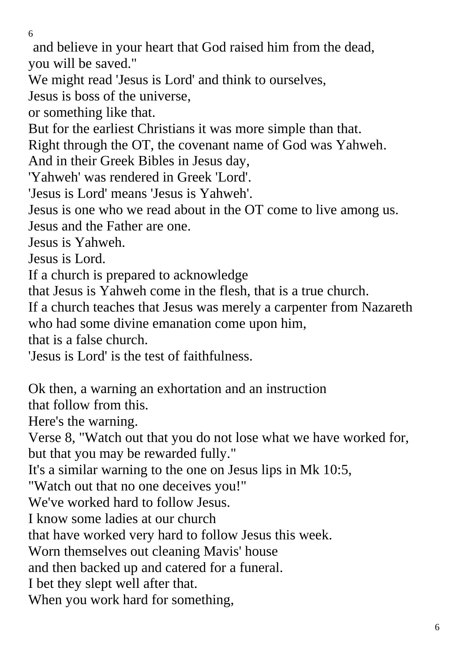and believe in your heart that God raised him from the dead, you will be saved."

We might read 'Jesus is Lord' and think to ourselves,

Jesus is boss of the universe,

or something like that.

But for the earliest Christians it was more simple than that.

Right through the OT, the covenant name of God was Yahweh.

And in their Greek Bibles in Jesus day,

'Yahweh' was rendered in Greek 'Lord'.

'Jesus is Lord' means 'Jesus is Yahweh'.

Jesus is one who we read about in the OT come to live among us.

Jesus and the Father are one.

Jesus is Yahweh.

Jesus is Lord.

If a church is prepared to acknowledge

that Jesus is Yahweh come in the flesh, that is a true church.

If a church teaches that Jesus was merely a carpenter from Nazareth who had some divine emanation come upon him,

that is a false church.

'Jesus is Lord' is the test of faithfulness.

Ok then, a warning an exhortation and an instruction

that follow from this.

Here's the warning.

Verse 8, "Watch out that you do not lose what we have worked for, but that you may be rewarded fully."

It's a similar warning to the one on Jesus lips in Mk 10:5,

"Watch out that no one deceives you!"

We've worked hard to follow Jesus.

I know some ladies at our church

that have worked very hard to follow Jesus this week.

Worn themselves out cleaning Mavis' house

and then backed up and catered for a funeral.

I bet they slept well after that.

When you work hard for something,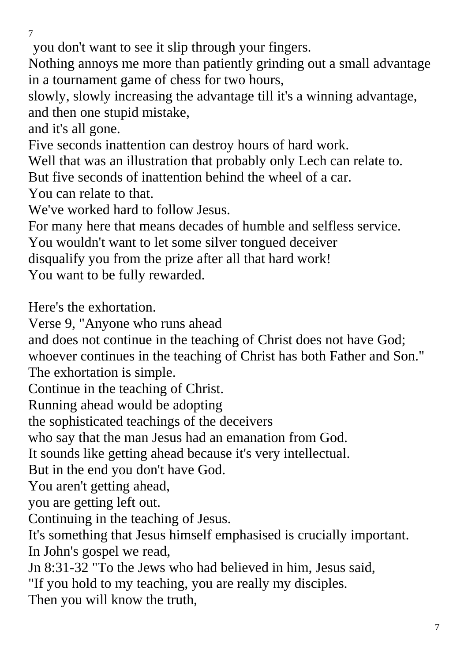you don't want to see it slip through your fingers.

Nothing annoys me more than patiently grinding out a small advantage in a tournament game of chess for two hours,

slowly, slowly increasing the advantage till it's a winning advantage, and then one stupid mistake,

and it's all gone.

Five seconds inattention can destroy hours of hard work.

Well that was an illustration that probably only Lech can relate to.

But five seconds of inattention behind the wheel of a car.

You can relate to that.

We've worked hard to follow Jesus.

For many here that means decades of humble and selfless service.

You wouldn't want to let some silver tongued deceiver

disqualify you from the prize after all that hard work!

You want to be fully rewarded.

Here's the exhortation.

Verse 9, "Anyone who runs ahead

and does not continue in the teaching of Christ does not have God;

whoever continues in the teaching of Christ has both Father and Son."

The exhortation is simple.

Continue in the teaching of Christ.

Running ahead would be adopting

the sophisticated teachings of the deceivers

who say that the man Jesus had an emanation from God.

It sounds like getting ahead because it's very intellectual.

But in the end you don't have God.

You aren't getting ahead,

you are getting left out.

Continuing in the teaching of Jesus.

It's something that Jesus himself emphasised is crucially important. In John's gospel we read,

Jn 8:31-32 "To the Jews who had believed in him, Jesus said,

"If you hold to my teaching, you are really my disciples.

Then you will know the truth,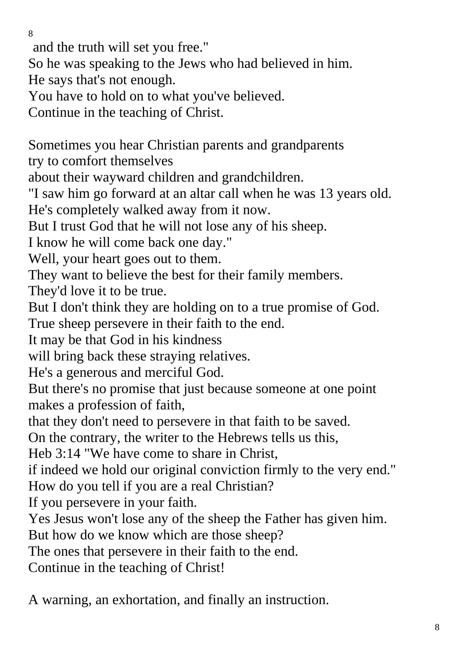and the truth will set you free."

So he was speaking to the Jews who had believed in him.

He says that's not enough.

You have to hold on to what you've believed.

Continue in the teaching of Christ.

Sometimes you hear Christian parents and grandparents try to comfort themselves about their wayward children and grandchildren. "I saw him go forward at an altar call when he was 13 years old. He's completely walked away from it now. But I trust God that he will not lose any of his sheep. I know he will come back one day." Well, your heart goes out to them. They want to believe the best for their family members. They'd love it to be true. But I don't think they are holding on to a true promise of God. True sheep persevere in their faith to the end. It may be that God in his kindness will bring back these straying relatives. He's a generous and merciful God. But there's no promise that just because someone at one point makes a profession of faith, that they don't need to persevere in that faith to be saved. On the contrary, the writer to the Hebrews tells us this, Heb 3:14 "We have come to share in Christ, if indeed we hold our original conviction firmly to the very end." How do you tell if you are a real Christian? If you persevere in your faith. Yes Jesus won't lose any of the sheep the Father has given him. But how do we know which are those sheep? The ones that persevere in their faith to the end. Continue in the teaching of Christ!

A warning, an exhortation, and finally an instruction.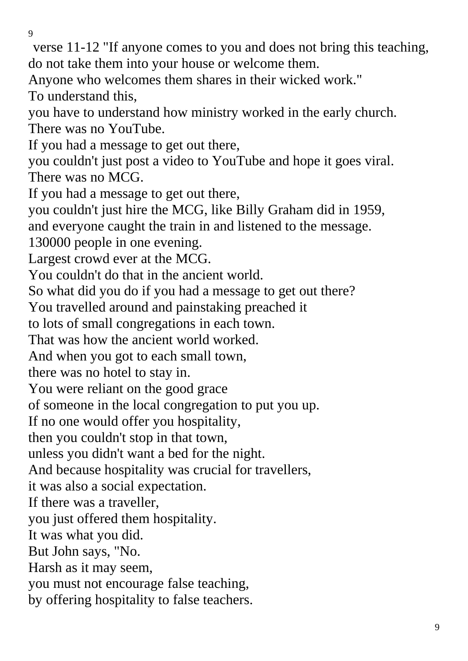verse 11-12 "If anyone comes to you and does not bring this teaching, do not take them into your house or welcome them.

Anyone who welcomes them shares in their wicked work."

To understand this,

you have to understand how ministry worked in the early church. There was no YouTube.

If you had a message to get out there,

you couldn't just post a video to YouTube and hope it goes viral. There was no MCG.

If you had a message to get out there,

you couldn't just hire the MCG, like Billy Graham did in 1959,

and everyone caught the train in and listened to the message.

130000 people in one evening.

Largest crowd ever at the MCG.

You couldn't do that in the ancient world.

So what did you do if you had a message to get out there?

You travelled around and painstaking preached it

to lots of small congregations in each town.

That was how the ancient world worked.

And when you got to each small town,

there was no hotel to stay in.

You were reliant on the good grace

of someone in the local congregation to put you up.

If no one would offer you hospitality,

then you couldn't stop in that town,

unless you didn't want a bed for the night.

And because hospitality was crucial for travellers,

it was also a social expectation.

If there was a traveller,

you just offered them hospitality.

It was what you did.

But John says, "No.

Harsh as it may seem,

you must not encourage false teaching,

by offering hospitality to false teachers.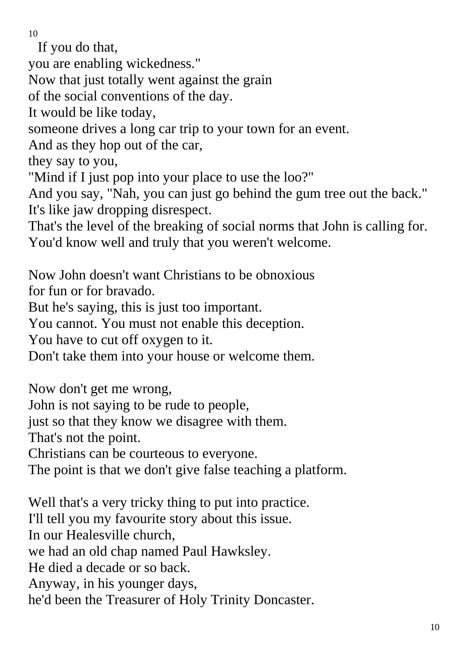If you do that,

you are enabling wickedness."

Now that just totally went against the grain

of the social conventions of the day.

It would be like today,

someone drives a long car trip to your town for an event.

And as they hop out of the car,

they say to you,

"Mind if I just pop into your place to use the loo?"

And you say, "Nah, you can just go behind the gum tree out the back." It's like jaw dropping disrespect.

That's the level of the breaking of social norms that John is calling for. You'd know well and truly that you weren't welcome.

Now John doesn't want Christians to be obnoxious for fun or for bravado.

But he's saying, this is just too important.

You cannot. You must not enable this deception.

You have to cut off oxygen to it.

Don't take them into your house or welcome them.

Now don't get me wrong, John is not saying to be rude to people, just so that they know we disagree with them. That's not the point. Christians can be courteous to everyone. The point is that we don't give false teaching a platform.

Well that's a very tricky thing to put into practice. I'll tell you my favourite story about this issue. In our Healesville church, we had an old chap named Paul Hawksley. He died a decade or so back. Anyway, in his younger days, he'd been the Treasurer of Holy Trinity Doncaster.